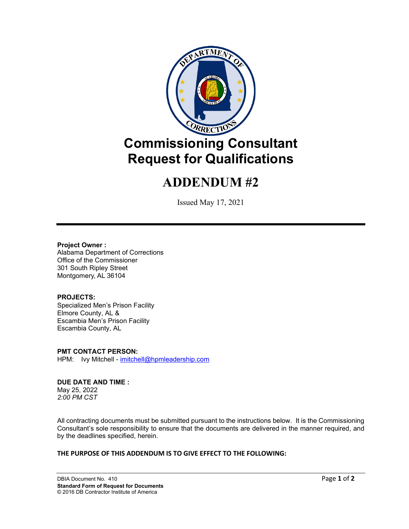

# **ADDENDUM #2**

Issued May 17, 2021

#### **Project Owner :**

Alabama Department of Corrections Office of the Commissioner 301 South Ripley Street Montgomery, AL 36104

## **PROJECTS:**

Specialized Men's Prison Facility Elmore County, AL & Escambia Men's Prison Facility Escambia County, AL

**PMT CONTACT PERSON:** HPM: Ivy Mitchell - [imitchell@hpmleadership.com](mailto:imitchell@hpmleadership.com)

#### **DUE DATE AND TIME :** May 25, 2022

*2:00 PM CST*

All contracting documents must be submitted pursuant to the instructions below. It is the Commissioning Consultant's sole responsibility to ensure that the documents are delivered in the manner required, and by the deadlines specified, herein.

## **THE PURPOSE OF THIS ADDENDUM IS TO GIVE EFFECT TO THE FOLLOWING:**